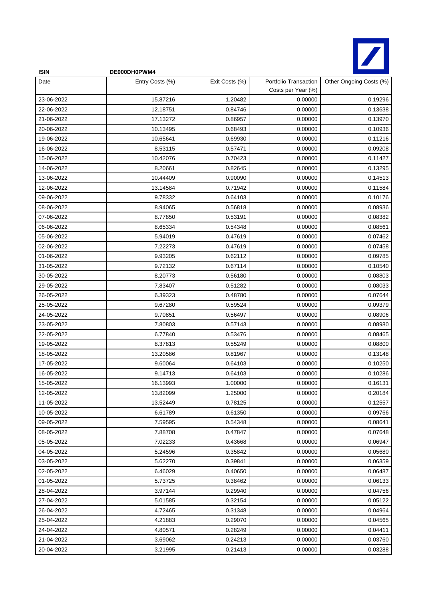

| <b>ISIN</b> | DE000DH0PWM4    |                |                                             |                         |
|-------------|-----------------|----------------|---------------------------------------------|-------------------------|
| Date        | Entry Costs (%) | Exit Costs (%) | Portfolio Transaction<br>Costs per Year (%) | Other Ongoing Costs (%) |
| 23-06-2022  | 15.87216        | 1.20482        | 0.00000                                     | 0.19296                 |
| 22-06-2022  | 12.18751        | 0.84746        | 0.00000                                     | 0.13638                 |
| 21-06-2022  | 17.13272        | 0.86957        | 0.00000                                     | 0.13970                 |
| 20-06-2022  | 10.13495        | 0.68493        | 0.00000                                     | 0.10936                 |
| 19-06-2022  | 10.65641        | 0.69930        | 0.00000                                     | 0.11216                 |
| 16-06-2022  | 8.53115         | 0.57471        | 0.00000                                     | 0.09208                 |
| 15-06-2022  | 10.42076        | 0.70423        | 0.00000                                     | 0.11427                 |
| 14-06-2022  | 8.20661         | 0.82645        | 0.00000                                     | 0.13295                 |
| 13-06-2022  | 10.44409        | 0.90090        | 0.00000                                     | 0.14513                 |
| 12-06-2022  | 13.14584        | 0.71942        | 0.00000                                     | 0.11584                 |
| 09-06-2022  | 9.78332         | 0.64103        | 0.00000                                     | 0.10176                 |
| 08-06-2022  | 8.94065         | 0.56818        | 0.00000                                     | 0.08936                 |
| 07-06-2022  | 8.77850         | 0.53191        | 0.00000                                     | 0.08382                 |
| 06-06-2022  | 8.65334         | 0.54348        | 0.00000                                     | 0.08561                 |
| 05-06-2022  | 5.94019         | 0.47619        | 0.00000                                     | 0.07462                 |
| 02-06-2022  | 7.22273         | 0.47619        | 0.00000                                     | 0.07458                 |
| 01-06-2022  | 9.93205         | 0.62112        | 0.00000                                     | 0.09785                 |
| 31-05-2022  | 9.72132         | 0.67114        | 0.00000                                     | 0.10540                 |
| 30-05-2022  | 8.20773         | 0.56180        | 0.00000                                     | 0.08803                 |
| 29-05-2022  | 7.83407         | 0.51282        | 0.00000                                     | 0.08033                 |
| 26-05-2022  | 6.39323         | 0.48780        | 0.00000                                     | 0.07644                 |
| 25-05-2022  | 9.67280         | 0.59524        | 0.00000                                     | 0.09379                 |
| 24-05-2022  | 9.70851         | 0.56497        | 0.00000                                     | 0.08906                 |
| 23-05-2022  | 7.80803         | 0.57143        | 0.00000                                     | 0.08980                 |
| 22-05-2022  | 6.77840         | 0.53476        | 0.00000                                     | 0.08465                 |
| 19-05-2022  | 8.37813         | 0.55249        | 0.00000                                     | 0.08800                 |
| 18-05-2022  | 13.20586        | 0.81967        | 0.00000                                     | 0.13148                 |
| 17-05-2022  | 9.60064         | 0.64103        | 0.00000                                     | 0.10250                 |
| 16-05-2022  | 9.14713         | 0.64103        | 0.00000                                     | 0.10286                 |
| 15-05-2022  | 16.13993        | 1.00000        | 0.00000                                     | 0.16131                 |
| 12-05-2022  | 13.82099        | 1.25000        | 0.00000                                     | 0.20184                 |
| 11-05-2022  | 13.52449        | 0.78125        | 0.00000                                     | 0.12557                 |
| 10-05-2022  | 6.61789         | 0.61350        | 0.00000                                     | 0.09766                 |
| 09-05-2022  | 7.59595         | 0.54348        | 0.00000                                     | 0.08641                 |
| 08-05-2022  | 7.88708         | 0.47847        | 0.00000                                     | 0.07648                 |
| 05-05-2022  | 7.02233         | 0.43668        | 0.00000                                     | 0.06947                 |
| 04-05-2022  | 5.24596         | 0.35842        | 0.00000                                     | 0.05680                 |
| 03-05-2022  | 5.62270         | 0.39841        | 0.00000                                     | 0.06359                 |
| 02-05-2022  | 6.46029         | 0.40650        | 0.00000                                     | 0.06487                 |
| 01-05-2022  | 5.73725         | 0.38462        | 0.00000                                     | 0.06133                 |
| 28-04-2022  | 3.97144         | 0.29940        | 0.00000                                     | 0.04756                 |
| 27-04-2022  | 5.01585         | 0.32154        | 0.00000                                     | 0.05122                 |
| 26-04-2022  | 4.72465         | 0.31348        | 0.00000                                     | 0.04964                 |
| 25-04-2022  | 4.21883         | 0.29070        | 0.00000                                     | 0.04565                 |
| 24-04-2022  | 4.80571         | 0.28249        | 0.00000                                     | 0.04411                 |
| 21-04-2022  | 3.69062         | 0.24213        | 0.00000                                     | 0.03760                 |
| 20-04-2022  | 3.21995         | 0.21413        | 0.00000                                     | 0.03288                 |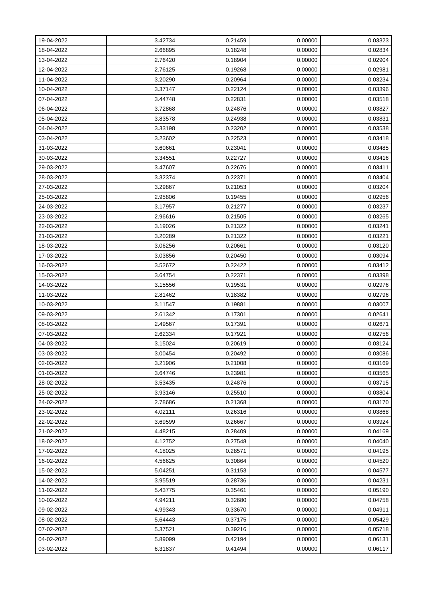| 19-04-2022 | 3.42734 | 0.21459 | 0.00000 | 0.03323 |
|------------|---------|---------|---------|---------|
| 18-04-2022 | 2.66895 | 0.18248 | 0.00000 | 0.02834 |
| 13-04-2022 | 2.76420 | 0.18904 | 0.00000 | 0.02904 |
| 12-04-2022 | 2.76125 | 0.19268 | 0.00000 | 0.02981 |
| 11-04-2022 | 3.20290 | 0.20964 | 0.00000 | 0.03234 |
| 10-04-2022 | 3.37147 | 0.22124 | 0.00000 | 0.03396 |
| 07-04-2022 | 3.44748 | 0.22831 | 0.00000 | 0.03518 |
| 06-04-2022 | 3.72868 | 0.24876 | 0.00000 | 0.03827 |
| 05-04-2022 | 3.83578 | 0.24938 | 0.00000 | 0.03831 |
| 04-04-2022 | 3.33198 | 0.23202 | 0.00000 | 0.03538 |
| 03-04-2022 | 3.23602 | 0.22523 | 0.00000 | 0.03418 |
| 31-03-2022 | 3.60661 | 0.23041 | 0.00000 | 0.03485 |
| 30-03-2022 | 3.34551 | 0.22727 | 0.00000 | 0.03416 |
| 29-03-2022 | 3.47607 | 0.22676 | 0.00000 | 0.03411 |
| 28-03-2022 | 3.32374 | 0.22371 | 0.00000 | 0.03404 |
| 27-03-2022 | 3.29867 | 0.21053 | 0.00000 | 0.03204 |
| 25-03-2022 | 2.95806 | 0.19455 | 0.00000 | 0.02956 |
| 24-03-2022 | 3.17957 | 0.21277 | 0.00000 | 0.03237 |
| 23-03-2022 | 2.96616 | 0.21505 | 0.00000 | 0.03265 |
| 22-03-2022 | 3.19026 | 0.21322 | 0.00000 | 0.03241 |
| 21-03-2022 | 3.20289 | 0.21322 | 0.00000 | 0.03221 |
| 18-03-2022 | 3.06256 | 0.20661 | 0.00000 | 0.03120 |
| 17-03-2022 | 3.03856 | 0.20450 | 0.00000 | 0.03094 |
| 16-03-2022 | 3.52672 | 0.22422 | 0.00000 | 0.03412 |
| 15-03-2022 | 3.64754 | 0.22371 | 0.00000 | 0.03398 |
| 14-03-2022 | 3.15556 | 0.19531 | 0.00000 | 0.02976 |
| 11-03-2022 | 2.81462 | 0.18382 | 0.00000 | 0.02796 |
| 10-03-2022 | 3.11547 | 0.19881 | 0.00000 | 0.03007 |
| 09-03-2022 | 2.61342 | 0.17301 | 0.00000 | 0.02641 |
| 08-03-2022 | 2.49567 | 0.17391 | 0.00000 | 0.02671 |
| 07-03-2022 | 2.62334 | 0.17921 | 0.00000 | 0.02756 |
| 04-03-2022 | 3.15024 | 0.20619 | 0.00000 | 0.03124 |
| 03-03-2022 | 3.00454 | 0.20492 | 0.00000 | 0.03086 |
| 02-03-2022 | 3.21906 | 0.21008 | 0.00000 | 0.03169 |
| 01-03-2022 | 3.64746 | 0.23981 | 0.00000 | 0.03565 |
| 28-02-2022 | 3.53435 | 0.24876 | 0.00000 | 0.03715 |
| 25-02-2022 | 3.93146 | 0.25510 | 0.00000 | 0.03804 |
| 24-02-2022 | 2.78686 | 0.21368 | 0.00000 | 0.03170 |
| 23-02-2022 | 4.02111 | 0.26316 | 0.00000 | 0.03868 |
| 22-02-2022 | 3.69599 | 0.26667 | 0.00000 | 0.03924 |
| 21-02-2022 | 4.48215 | 0.28409 | 0.00000 | 0.04169 |
| 18-02-2022 | 4.12752 | 0.27548 | 0.00000 | 0.04040 |
| 17-02-2022 | 4.18025 | 0.28571 | 0.00000 | 0.04195 |
| 16-02-2022 | 4.56625 | 0.30864 | 0.00000 | 0.04520 |
| 15-02-2022 | 5.04251 | 0.31153 | 0.00000 | 0.04577 |
| 14-02-2022 | 3.95519 | 0.28736 | 0.00000 | 0.04231 |
| 11-02-2022 | 5.43775 | 0.35461 | 0.00000 | 0.05190 |
| 10-02-2022 | 4.94211 | 0.32680 | 0.00000 | 0.04758 |
| 09-02-2022 | 4.99343 | 0.33670 | 0.00000 | 0.04911 |
| 08-02-2022 | 5.64443 | 0.37175 | 0.00000 | 0.05429 |
| 07-02-2022 | 5.37521 | 0.39216 | 0.00000 | 0.05718 |
| 04-02-2022 | 5.89099 | 0.42194 | 0.00000 | 0.06131 |
| 03-02-2022 | 6.31837 | 0.41494 | 0.00000 | 0.06117 |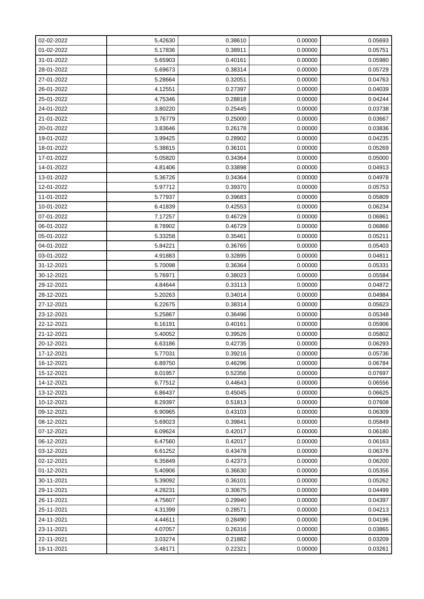| 02-02-2022 | 5.42630 | 0.38610 | 0.00000 | 0.05693 |
|------------|---------|---------|---------|---------|
| 01-02-2022 | 5.17836 | 0.38911 | 0.00000 | 0.05751 |
| 31-01-2022 | 5.65903 | 0.40161 | 0.00000 | 0.05980 |
| 28-01-2022 | 5.69673 | 0.38314 | 0.00000 | 0.05729 |
| 27-01-2022 | 5.28664 | 0.32051 | 0.00000 | 0.04763 |
| 26-01-2022 | 4.12551 | 0.27397 | 0.00000 | 0.04039 |
| 25-01-2022 | 4.75346 | 0.28818 | 0.00000 | 0.04244 |
| 24-01-2022 | 3.80220 | 0.25445 | 0.00000 | 0.03738 |
| 21-01-2022 | 3.76779 | 0.25000 | 0.00000 | 0.03667 |
| 20-01-2022 | 3.83646 | 0.26178 | 0.00000 | 0.03836 |
| 19-01-2022 | 3.99425 | 0.28902 | 0.00000 | 0.04235 |
| 18-01-2022 | 5.38815 | 0.36101 | 0.00000 | 0.05269 |
| 17-01-2022 | 5.05820 | 0.34364 | 0.00000 | 0.05000 |
| 14-01-2022 | 4.81406 | 0.33898 | 0.00000 | 0.04913 |
| 13-01-2022 | 5.36726 | 0.34364 | 0.00000 | 0.04978 |
| 12-01-2022 | 5.97712 | 0.39370 | 0.00000 | 0.05753 |
| 11-01-2022 | 5.77937 | 0.39683 | 0.00000 | 0.05809 |
| 10-01-2022 | 6.41839 | 0.42553 | 0.00000 | 0.06234 |
| 07-01-2022 | 7.17257 | 0.46729 | 0.00000 | 0.06861 |
| 06-01-2022 | 8.78902 | 0.46729 | 0.00000 | 0.06866 |
| 05-01-2022 | 5.33258 | 0.35461 | 0.00000 | 0.05211 |
| 04-01-2022 | 5.84221 | 0.36765 | 0.00000 | 0.05403 |
| 03-01-2022 | 4.91883 | 0.32895 | 0.00000 | 0.04811 |
| 31-12-2021 | 5.70098 | 0.36364 | 0.00000 | 0.05331 |
| 30-12-2021 | 5.76971 | 0.38023 | 0.00000 | 0.05584 |
| 29-12-2021 | 4.84644 | 0.33113 | 0.00000 | 0.04872 |
| 28-12-2021 | 5.20263 | 0.34014 | 0.00000 | 0.04984 |
| 27-12-2021 | 6.22675 | 0.38314 | 0.00000 | 0.05623 |
| 23-12-2021 | 5.25867 | 0.36496 | 0.00000 | 0.05348 |
| 22-12-2021 | 6.16191 | 0.40161 | 0.00000 | 0.05906 |
| 21-12-2021 | 5.40052 | 0.39526 | 0.00000 | 0.05802 |
| 20-12-2021 | 6.63186 | 0.42735 | 0.00000 | 0.06293 |
| 17-12-2021 | 5.77031 | 0.39216 | 0.00000 | 0.05736 |
| 16-12-2021 | 6.89750 | 0.46296 | 0.00000 | 0.06784 |
| 15-12-2021 | 8.01957 | 0.52356 | 0.00000 | 0.07697 |
| 14-12-2021 | 6.77512 | 0.44643 | 0.00000 | 0.06556 |
| 13-12-2021 | 6.86437 | 0.45045 | 0.00000 | 0.06625 |
| 10-12-2021 | 8.29397 | 0.51813 | 0.00000 | 0.07608 |
| 09-12-2021 | 6.90965 | 0.43103 | 0.00000 | 0.06309 |
| 08-12-2021 | 5.69023 | 0.39841 | 0.00000 | 0.05849 |
| 07-12-2021 | 6.09624 | 0.42017 | 0.00000 | 0.06180 |
| 06-12-2021 | 6.47560 | 0.42017 | 0.00000 | 0.06163 |
| 03-12-2021 | 6.61252 | 0.43478 | 0.00000 | 0.06376 |
| 02-12-2021 | 6.35849 | 0.42373 | 0.00000 | 0.06200 |
| 01-12-2021 | 5.40906 | 0.36630 | 0.00000 | 0.05356 |
| 30-11-2021 | 5.39092 | 0.36101 | 0.00000 | 0.05262 |
| 29-11-2021 | 4.28231 | 0.30675 | 0.00000 | 0.04499 |
| 26-11-2021 | 4.75607 | 0.29940 | 0.00000 | 0.04397 |
| 25-11-2021 | 4.31399 | 0.28571 | 0.00000 | 0.04213 |
| 24-11-2021 | 4.44611 | 0.28490 | 0.00000 | 0.04196 |
| 23-11-2021 | 4.07057 | 0.26316 | 0.00000 | 0.03865 |
| 22-11-2021 | 3.03274 | 0.21882 | 0.00000 | 0.03209 |
| 19-11-2021 | 3.48171 | 0.22321 | 0.00000 | 0.03261 |